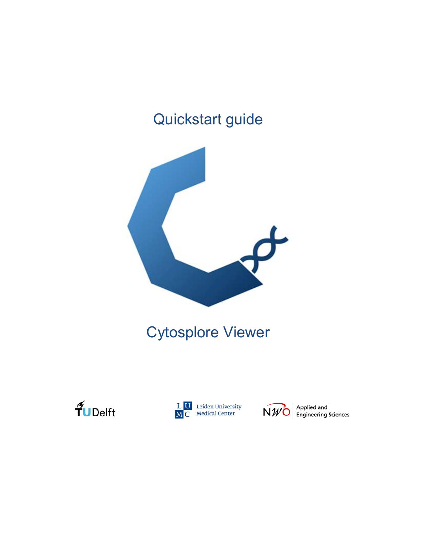# Quickstart guide



# Cytosplore Viewer





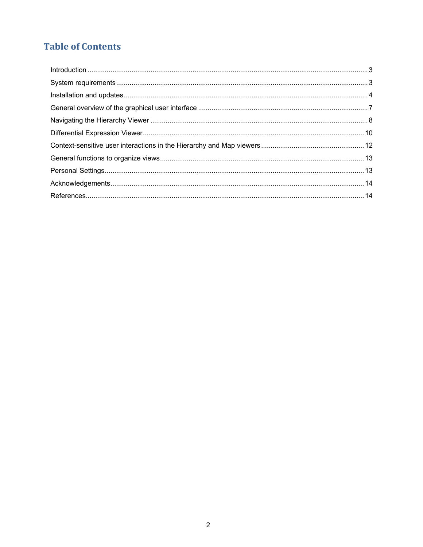# **Table of Contents**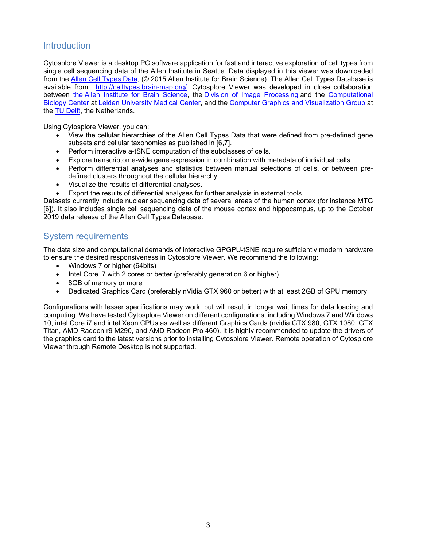# **Introduction**

Cytosplore Viewer is a desktop PC software application for fast and interactive exploration of cell types from single cell sequencing data of the Allen Institute in Seattle. Data displayed in this viewer was downloaded from the Allen Cell Types Data, (© 2015 Allen Institute for Brain Science). The Allen Cell Types Database is available from: http://celltypes.brain-map.org/. Cytosplore Viewer was developed in close collaboration between the Allen Institute for Brain Science, the Division of Image Processing and the Computational Biology Center at Leiden University Medical Center, and the Computer Graphics and Visualization Group at the TU Delft, the Netherlands.

Using Cytosplore Viewer, you can:

- View the cellular hierarchies of the Allen Cell Types Data that were defined from pre-defined gene subsets and cellular taxonomies as published in [6,7].
- Perform interactive a-tSNE computation of the subclasses of cells.
- Explore transcriptome-wide gene expression in combination with metadata of individual cells.
- Perform differential analyses and statistics between manual selections of cells, or between predefined clusters throughout the cellular hierarchy.
- Visualize the results of differential analyses.
- Export the results of differential analyses for further analysis in external tools.

Datasets currently include nuclear sequencing data of several areas of the human cortex (for instance MTG [6]). It also includes single cell sequencing data of the mouse cortex and hippocampus, up to the October 2019 data release of the Allen Cell Types Database.

# System requirements

The data size and computational demands of interactive GPGPU-tSNE require sufficiently modern hardware to ensure the desired responsiveness in Cytosplore Viewer. We recommend the following:

- Windows 7 or higher (64bits)
- Intel Core i7 with 2 cores or better (preferably generation 6 or higher)
- 8GB of memory or more
- Dedicated Graphics Card (preferably nVidia GTX 960 or better) with at least 2GB of GPU memory

Configurations with lesser specifications may work, but will result in longer wait times for data loading and computing. We have tested Cytosplore Viewer on different configurations, including Windows 7 and Windows 10, intel Core i7 and intel Xeon CPUs as well as different Graphics Cards (nvidia GTX 980, GTX 1080, GTX Titan, AMD Radeon r9 M290, and AMD Radeon Pro 460). It is highly recommended to update the drivers of the graphics card to the latest versions prior to installing Cytosplore Viewer. Remote operation of Cytosplore Viewer through Remote Desktop is not supported.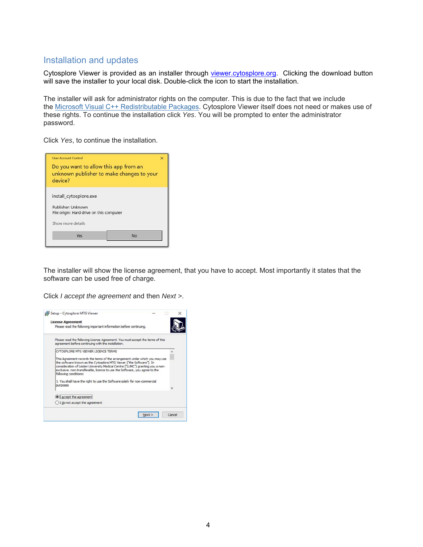# Installation and updates

Cytosplore Viewer is provided as an installer through viewer.cytosplore.org. Clicking the download button will save the installer to your local disk. Double-click the icon to start the installation.

The installer will ask for administrator rights on the computer. This is due to the fact that we include the Microsoft Visual C++ Redistributable Packages. Cytosplore Viewer itself does not need or makes use of these rights. To continue the installation click *Yes*. You will be prompted to enter the administrator password.

Click *Yes*, to continue the installation.

| <b>User Account Control</b>                                                                   | × |
|-----------------------------------------------------------------------------------------------|---|
| Do you want to allow this app from an<br>unknown publisher to make changes to your<br>device? |   |
| install_cytosplore.exe                                                                        |   |
| Publisher: Unknown<br>File origin: Hard drive on this computer                                |   |
| Show more details                                                                             |   |
|                                                                                               |   |

The installer will show the license agreement, that you have to accept. Most importantly it states that the software can be used free of charge.

Click *I accept the agreement* and then *Next >*.

| <b>License Agreement</b>                                                                                                                                                                                                                                                                                                                     |  |
|----------------------------------------------------------------------------------------------------------------------------------------------------------------------------------------------------------------------------------------------------------------------------------------------------------------------------------------------|--|
| Please read the following important information before continuing.                                                                                                                                                                                                                                                                           |  |
| Please read the following License Agreement. You must accept the terms of this<br>agreement before continuing with the installation.                                                                                                                                                                                                         |  |
| CYTOSPLORE MTG VIEWER LICENCE TERMS                                                                                                                                                                                                                                                                                                          |  |
| This Agreement records the terms of the arrangement under which you may use<br>the software known as the Cytosplore MTG Viewer ("the Software"). In<br>consideration of Leiden University Medical Centre ("LUMC") granting you a non-<br>exclusive, non-transferable, licence to use the Software, you agree to the<br>following conditions: |  |
| 1. You shall have the right to use the Software solely for non-commercial<br>purposes                                                                                                                                                                                                                                                        |  |
|                                                                                                                                                                                                                                                                                                                                              |  |
| I accept the agreement                                                                                                                                                                                                                                                                                                                       |  |
| ○ I do not accept the agreement                                                                                                                                                                                                                                                                                                              |  |
|                                                                                                                                                                                                                                                                                                                                              |  |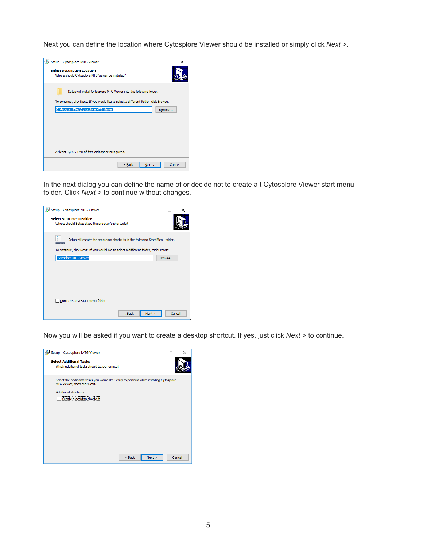Next you can define the location where Cytosplore Viewer should be installed or simply click *Next >*.



In the next dialog you can define the name of or decide not to create a t Cytosplore Viewer start menu folder. Click *Next >* to continue without changes.



Now you will be asked if you want to create a desktop shortcut. If yes, just click *Next >* to continue.

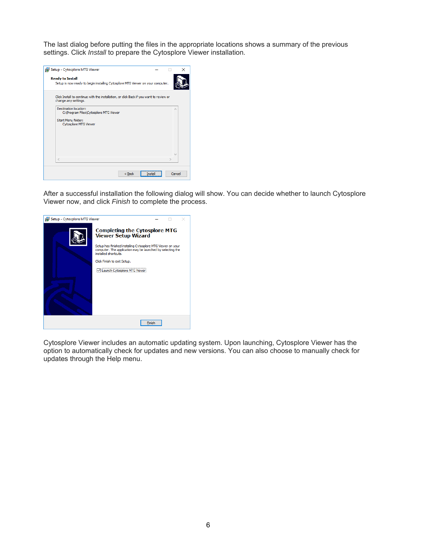The last dialog before putting the files in the appropriate locations shows a summary of the previous settings. Click *Install* to prepare the Cytosplore Viewer installation.

| Setup - Cytosplore MTG Viewer                                                                                          |         |        | $\times$ |
|------------------------------------------------------------------------------------------------------------------------|---------|--------|----------|
| <b>Ready to Install</b><br>Setup is now ready to begin installing Cytosplore MTG Viewer on your computer.              |         |        |          |
| Click Install to continue with the installation, or click Back if you want to review or<br>change any settings.        |         |        |          |
| Destination location:<br>C: \Program Files\Cytosplore MTG Viewer<br>Start Menu folder:<br><b>Cytosplore MTG Viewer</b> |         | ۸      |          |
| $\,<$                                                                                                                  |         |        |          |
| $<$ Back                                                                                                               | Install | Cancel |          |

After a successful installation the following dialog will show. You can decide whether to launch Cytosplore Viewer now, and click *Finish* to complete the process.



Cytosplore Viewer includes an automatic updating system. Upon launching, Cytosplore Viewer has the option to automatically check for updates and new versions. You can also choose to manually check for updates through the Help menu.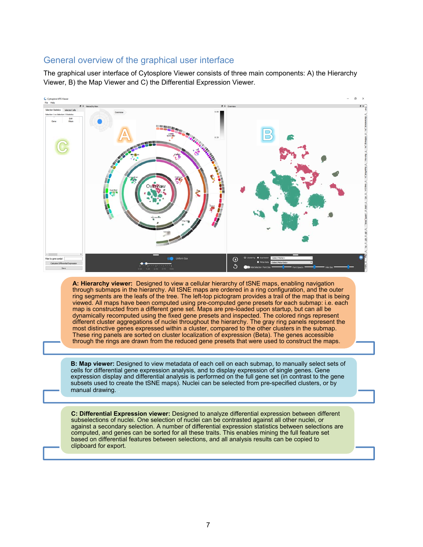### General overview of the graphical user interface

The graphical user interface of Cytosplore Viewer consists of three main components: A) the Hierarchy Viewer, B) the Map Viewer and C) the Differential Expression Viewer.

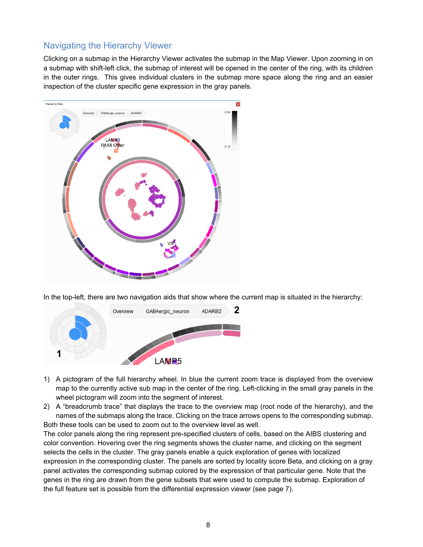# Navigating the Hierarchy Viewer

Clicking on a submap in the Hierarchy Viewer activates the submap in the Map Viewer. Upon zooming in on a submap with shift-left click, the submap of interest will be opened in the center of the ring, with its children in the outer rings. This gives individual clusters in the submap more space along the ring and an easier inspection of the cluster specific gene expression in the gray panels.



In the top-left, there are two navigation aids that show where the current map is situated in the hierarchy:



- 1) A pictogram of the full hierarchy wheel. In blue the current zoom trace is displayed from the overview map to the currently active sub map in the center of the ring. Left-clicking in the small gray panels in the wheel pictogram will zoom into the segment of interest.
- 2) A "breadcrumb trace" that displays the trace to the overview map (root node of the hierarchy), and the names of the submaps along the trace. Clicking on the trace arrows opens to the corresponding submap. Both these tools can be used to zoom out to the overview level as well.

The color panels along the ring represent pre-specified clusters of cells, based on the AIBS clustering and color convention. Hovering over the ring segments shows the cluster name, and clicking on the segment selects the cells in the cluster. The gray panels enable a quick exploration of genes with localized expression in the corresponding cluster. The panels are sorted by locality score Beta, and clicking on a gray panel activates the corresponding submap colored by the expression of that particular gene. Note that the genes in the ring are drawn from the gene subsets that were used to compute the submap. Exploration of the full feature set is possible from the differential expression viewer (see page 7).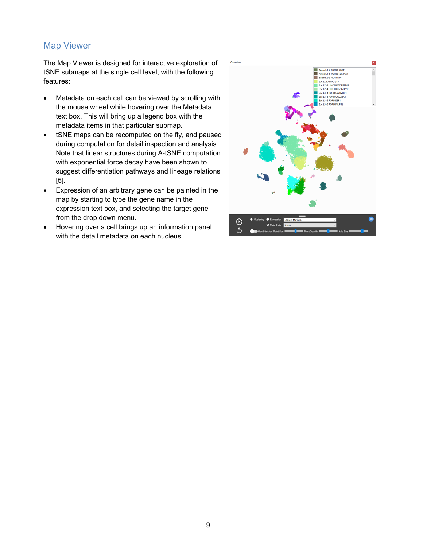# Map Viewer

The Map Viewer is designed for interactive exploration of tSNE submaps at the single cell level, with the following features:

- Metadata on each cell can be viewed by scrolling with the mouse wheel while hovering over the Metadata text box. This will bring up a legend box with the metadata items in that particular submap.
- tSNE maps can be recomputed on the fly, and paused during computation for detail inspection and analysis. Note that linear structures during A-tSNE computation with exponential force decay have been shown to suggest differentiation pathways and lineage relations [5].
- Expression of an arbitrary gene can be painted in the map by starting to type the gene name in the expression text box, and selecting the target gene from the drop down menu.
- Hovering over a cell brings up an information panel with the detail metadata on each nucleus.

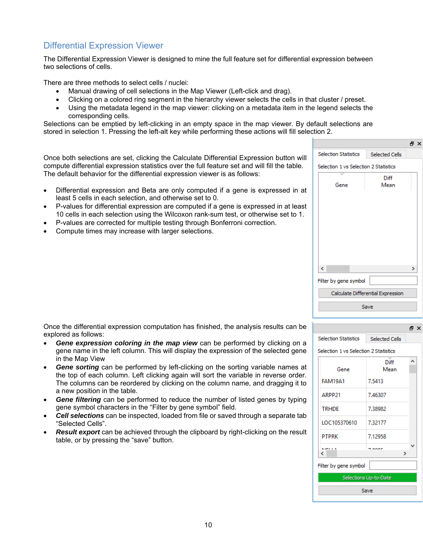# Differential Expression Viewer

The Differential Expression Viewer is designed to mine the full feature set for differential expression between two selections of cells.

There are three methods to select cells / nuclei:

- Manual drawing of cell selections in the Map Viewer (Left-click and drag).
- Clicking on a colored ring segment in the hierarchy viewer selects the cells in that cluster / preset.
- Using the metadata legend in the map viewer: clicking on a metadata item in the legend selects the corresponding cells.

Selections can be emptied by left-clicking in an empty space in the map viewer. By default selections are stored in selection 1. Pressing the left-alt key while performing these actions will fill selection 2.

Once both selections are set, clicking the Calculate Differential Expression button will compute differential expression statistics over the full feature set and will fill the table. The default behavior for the differential expression viewer is as follows:

- Differential expression and Beta are only computed if a gene is expressed in at least 5 cells in each selection, and otherwise set to 0.
- P-values for differential expression are computed if a gene is expressed in at least 10 cells in each selection using the Wilcoxon rank-sum test, or otherwise set to 1.
- P-values are corrected for multiple testing through Bonferroni correction.
- Compute times may increase with larger selections.

Once the differential expression computation has finished, the analysis results can be explored as follows:

- *Gene expression coloring in the map view* can be performed by clicking on a gene name in the left column. This will display the expression of the selected gene in the Map View
- *Gene sorting* can be performed by left-clicking on the sorting variable names at the top of each column. Left clicking again will sort the variable in reverse order. The columns can be reordered by clicking on the column name, and dragging it to a new position in the table.
- *Gene filtering* can be performed to reduce the number of listed genes by typing gene symbol characters in the "Filter by gene symbol" field.
- *Cell selections* can be inspected, loaded from file or saved through a separate tab "Selected Cells".
- *Result export* can be achieved through the clipboard by right-clicking on the result table, or by pressing the "save" button.

| ב ווטו.                               |                                   |    |  |  |
|---------------------------------------|-----------------------------------|----|--|--|
|                                       |                                   | ÐХ |  |  |
| <b>Selection Statistics</b>           | Selected Cells                    |    |  |  |
| Selection 1 vs Selection 2 Statistics |                                   |    |  |  |
| Gene                                  | Diff<br>Mean                      |    |  |  |
|                                       |                                   |    |  |  |
|                                       |                                   |    |  |  |
|                                       |                                   |    |  |  |
|                                       |                                   |    |  |  |
| ∢                                     |                                   | ⋗  |  |  |
| Filter by gene symbol                 |                                   |    |  |  |
|                                       | Calculate Differential Expression |    |  |  |
|                                       | Save                              |    |  |  |
|                                       |                                   |    |  |  |

#### Selection 1 vs Selection 2 Statistics ۸ Diff Mean Gene **FAM19A1** 7.5413 ARPP21 7.46307 **TRHDE** 7.38982 LOC105370610 7.32177 **PTPRK** 7.12958 7 ooor  $\epsilon$  $\overline{ }$ Filter by gene symbol Selections Up-to-Date Save

**Selection Statistics** 

a x

Selected Cells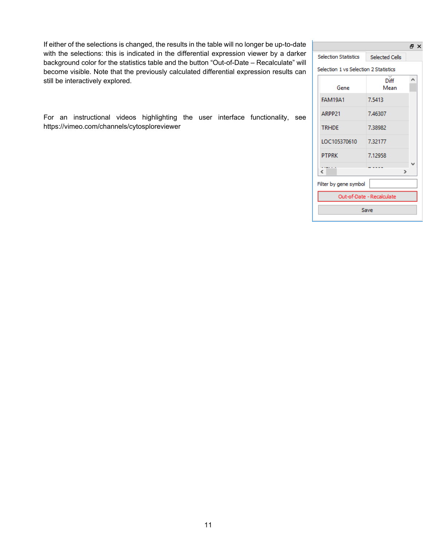If either of the selections is changed, the results in the table will no longer be up-to-date with the selections: this is indicated in the differential expression viewer by a darker background color for the statistics table and the button "Out-of-Date – Recalculate" will become visible. Note that the previously calculated differential expression results can still be interactively explored.

For an instructional videos highlighting the user interface functionality, see https://vimeo.com/channels/cytosploreviewer

|                                       |                | A X |  |  |
|---------------------------------------|----------------|-----|--|--|
| <b>Selection Statistics</b>           | Selected Cells |     |  |  |
| Selection 1 vs Selection 2 Statistics |                |     |  |  |
| Gene                                  | Diff<br>Mean   | ۸   |  |  |
| <b>FAM19A1</b>                        | 7.5413         |     |  |  |
| ARPP21                                | 7.46307        |     |  |  |
| <b>TRHDF</b>                          | 7.38982        |     |  |  |
| LOC105370610                          | 7.32177        |     |  |  |
| <b>PTPRK</b>                          | 7.12958        |     |  |  |
| €                                     | У              |     |  |  |
| Filter by gene symbol                 |                |     |  |  |
| Out-of-Date - Recalculate             |                |     |  |  |
| Save                                  |                |     |  |  |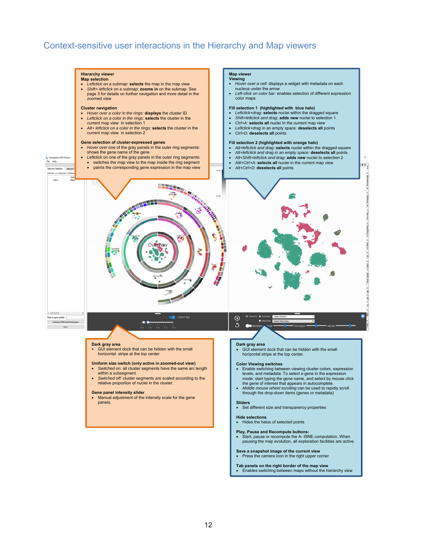## Context-sensitive user interactions in the Hierarchy and Map viewers

#### **Hierarchy viewer Map selection**

- *Leftclick on a submap*: **selects** the map in the map view
- *Shift+ leftclick on a submap*: **zooms in** on the submap. See page 3 for details on further navigation and more detail in the zoomed view

#### **Cluster navigation**

C Cytosplore MTG Vie<br>File Help

stics Selecti

- *Hover over a color in the rings*: **displays** the cluster ID
- *Leftclick on a color in the rings:* **selects** the cluster in the
- current map view in selection 1 *Alt+ leftclick on a color in the rings:* **selects** the cluster in the current map view in selection 2

#### **Gene selection of cluster-expressed genes**

- *Hover over* one of the gray panels in the outer ring segments:
- shows the gene name of the gene<br>
Leftclick on one of the gray panels in the outer ring segments:
	- switches the map view to the map inside the ring segment
	- paints the corresponding gene expression in the map view

#### **Map viewer Viewing**

- *Hover over a cell:* displays a widget with metadata on each nucleus under the arrow
- *Left-click on color bar:* enables selection of different expression color maps

#### **Fill selection 1 (highlighted with blue halo)**

- *Leftclick+drag*: **selects** nuclei within the dragged square
- *Shift+leftclick and drag*: **adds new** nuclei to selection 1 *Ctrl+A:* **selects all** nuclei In the current map view
- 
- *Leftclick+drag* in an empty space: **deselects all** points
- *Ctrl+D:* **deselects all** points

#### **Fill selection 2 (highlighted with orange halo)**

- *Alt+leftclick and drag:* **selects** nuclei within the dragged square
- *Alt+leftclick and drag in an empty space:* **deselects all** points
- 
- Alt+Shift+leftclick and drag: **adds new** nuclei to selection 2<br>● Altl+Ctrl+A: **selects all** nuclei in the current map view
- *Alt+Ctrl+D:* **deselects all** points

Selection 1 vs Selection 2 Stat Gene **BOOK 24 Salah Kabupatén** ń  $\epsilon$  . the by gene symbol  $\odot$ Calculate Differental D  $\circ$ **Dark gray area Dark gray area**  • GUI element dock that can be hidden with the small GUI element dock that can be hidden with the small horizontal stripe at the top center horizontal stripe at the top center. **Uniform size switch (only active in zoomed-out view) Color Viewing switches**  *Switched on:* all cluster segments have the same arc length Enable switching between viewing cluster colors, expression within a subsegment. levels, and metadata. To select a gene in the expression *Switched off:* cluster segments are scaled according to the relative proportion of nuclei in the cluster. mode: start typing the gene name, and select by mouse click<br>the gene of interest that appears in autocomplete.<br>Middle mouse wheel scrolling can be used to rapidly scroll **Gene panel intensity slider**  through the drop-down items (genes or metadata) Manual adjustment of the intensity scale for the gene panels. **Sliders**  Set different size and transparency properties

#### **Hide selections**

Hides the halos of selected points

- **Play, Pause and Recompute buttons:**
- Start, pause or recompute the A- tSNE computation. When pausing the map evolution, all exploration facilities are active.

**Save a snapshot image of the current view**<br>• Press the camera icon in the right upper corner

- 
- **Tab panels on the right border of the map view**  Enables switching between maps without the hierarchy view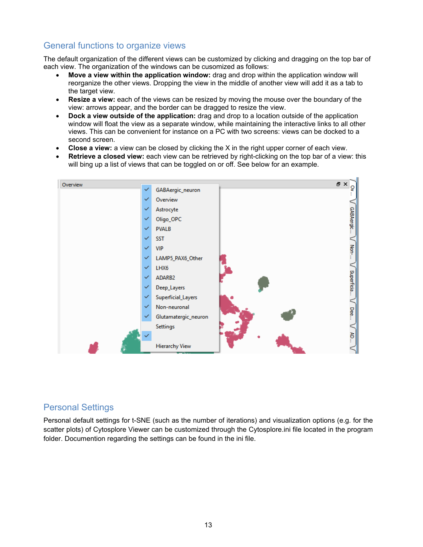# General functions to organize views

The default organization of the different views can be customized by clicking and dragging on the top bar of each view. The organization of the windows can be cusomized as follows:

- **Move a view within the application window:** drag and drop within the application window will reorganize the other views. Dropping the view in the middle of another view will add it as a tab to the target view.
- **Resize a view:** each of the views can be resized by moving the mouse over the boundary of the view: arrows appear, and the border can be dragged to resize the view.
- **Dock a view outside of the application:** drag and drop to a location outside of the application window will float the view as a separate window, while maintaining the interactive links to all other views. This can be convenient for instance on a PC with two screens: views can be docked to a second screen.
- **Close a view:** a view can be closed by clicking the X in the right upper corner of each view.
- **Retrieve a closed view:** each view can be retrieved by right-clicking on the top bar of a view: this will bing up a list of views that can be toggled on or off. See below for an example.



# Personal Settings

Personal default settings for t-SNE (such as the number of iterations) and visualization options (e.g. for the scatter plots) of Cytosplore Viewer can be customized through the Cytosplore.ini file located in the program folder. Documention regarding the settings can be found in the ini file.